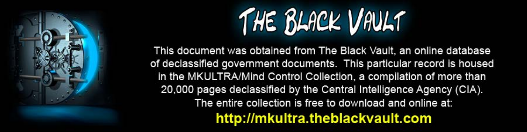

This document was obtained from The Black Vault, an online database of declassified government documents. This particular record is housed in the MKULTRA/Mind Control Collection, a compilation of more than 20,000 pages declassified by the Central Intelligence Agency (CIA). The entire collection is free to download and online at: http://mkultra.theblackvault.com